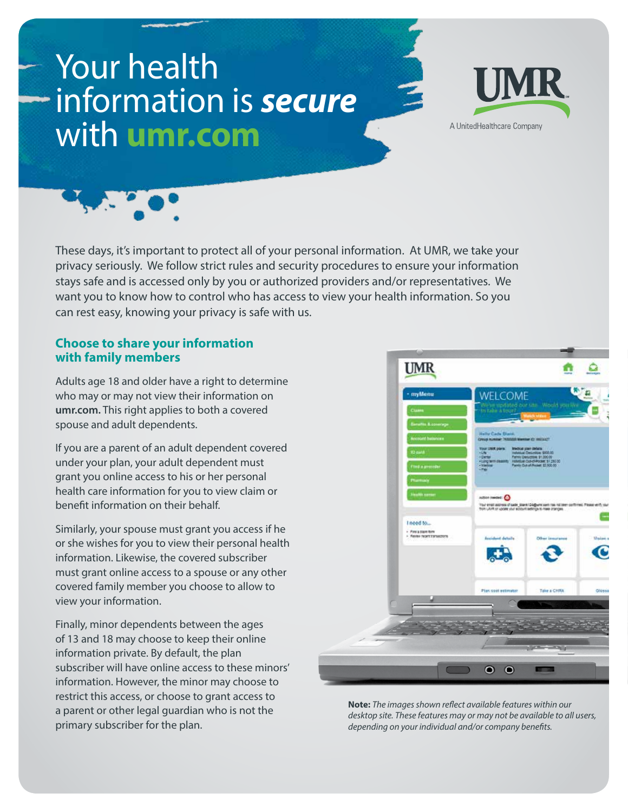# Your health information is *secure* with **umr.com**





These days, it's important to protect all of your personal information. At UMR, we take your privacy seriously. We follow strict rules and security procedures to ensure your information stays safe and is accessed only by you or authorized providers and/or representatives. We want you to know how to control who has access to view your health information. So you can rest easy, knowing your privacy is safe with us.

### **Choose to share your information with family members**

Adults age 18 and older have a right to determine who may or may not view their information on **umr.com.** This right applies to both a covered spouse and adult dependents.

If you are a parent of an adult dependent covered under your plan, your adult dependent must grant you online access to his or her personal health care information for you to view claim or benefit information on their behalf.

Similarly, your spouse must grant you access if he or she wishes for you to view their personal health information. Likewise, the covered subscriber must grant online access to a spouse or any other covered family member you choose to allow to view your information.

Finally, minor dependents between the ages of 13 and 18 may choose to keep their online information private. By default, the plan subscriber will have online access to these minors' information. However, the minor may choose to restrict this access, or choose to grant access to a parent or other legal guardian who is not the primary subscriber for the plan.



**Note:** *The images shown reflect available features within our desktop site. These features may or may not be available to all users, depending on your individual and/or company benefits.*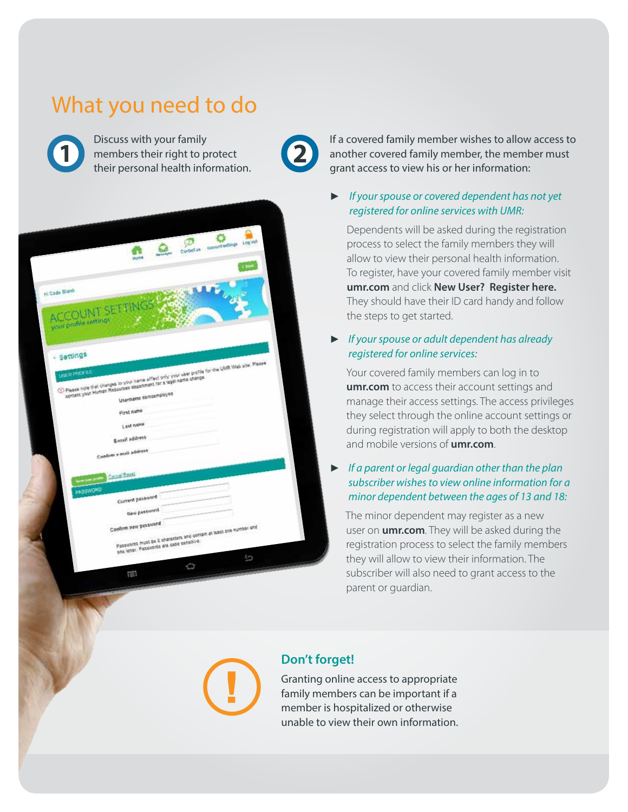# What you need to do



Discuss with your family members their right to protect their personal health information.



If a covered family member wishes to allow access to another covered family member, the member must grant access to view his or her information:

#### ► *If your spouse or covered dependent has not yet registered for online services with UMR:*

Dependents will be asked during the registration process to select the family members they will allow to view their personal health information. To register, have your covered family member visit **umr.com** and click **New User? Register here.** They should have their ID card handy and follow the steps to get started.

### ► *If your spouse or adult dependent has already registered for online services:*

Your covered family members can log in to **umr.com** to access their account settings and manage their access settings. The access privileges they select through the online account settings or during registration will apply to both the desktop and mobile versions of **umr.com**.

#### ► *If a parent or legal guardian other than the plan subscriber wishes to view online information for a minor dependent between the ages of 13 and 18:*

 The minor dependent may register as a new user on **umr.com**. They will be asked during the registration process to select the family members they will allow to view their information. The subscriber will also need to grant access to the parent or guardian.



### **Don't forget!**

Granting online access to appropriate family members can be important if a member is hospitalized or otherwise unable to view their own information.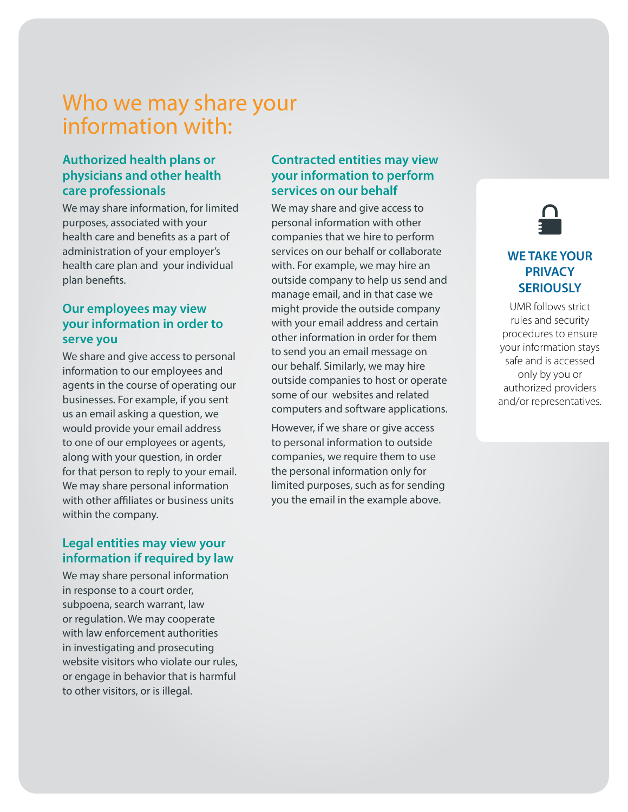# Who we may share your information with:

### **Authorized health plans or physicians and other health care professionals**

We may share information, for limited purposes, associated with your health care and benefits as a part of administration of your employer's health care plan and your individual plan benefits.

### **Our employees may view your information in order to serve you**

We share and give access to personal information to our employees and agents in the course of operating our businesses. For example, if you sent us an email asking a question, we would provide your email address to one of our employees or agents, along with your question, in order for that person to reply to your email. We may share personal information with other affiliates or business units within the company.

## **Legal entities may view your information if required by law**

We may share personal information in response to a court order, subpoena, search warrant, law or regulation. We may cooperate with law enforcement authorities in investigating and prosecuting website visitors who violate our rules, or engage in behavior that is harmful to other visitors, or is illegal.

### **Contracted entities may view your information to perform services on our behalf**

We may share and give access to personal information with other companies that we hire to perform services on our behalf or collaborate with. For example, we may hire an outside company to help us send and manage email, and in that case we might provide the outside company with your email address and certain other information in order for them to send you an email message on our behalf. Similarly, we may hire outside companies to host or operate some of our websites and related computers and software applications.

However, if we share or give access to personal information to outside companies, we require them to use the personal information only for limited purposes, such as for sending you the email in the example above.



# **WE TAKE YOUR PRIVACY SERIOUSLY**

UMR follows strict rules and security procedures to ensure your information stays safe and is accessed only by you or authorized providers and/or representatives.